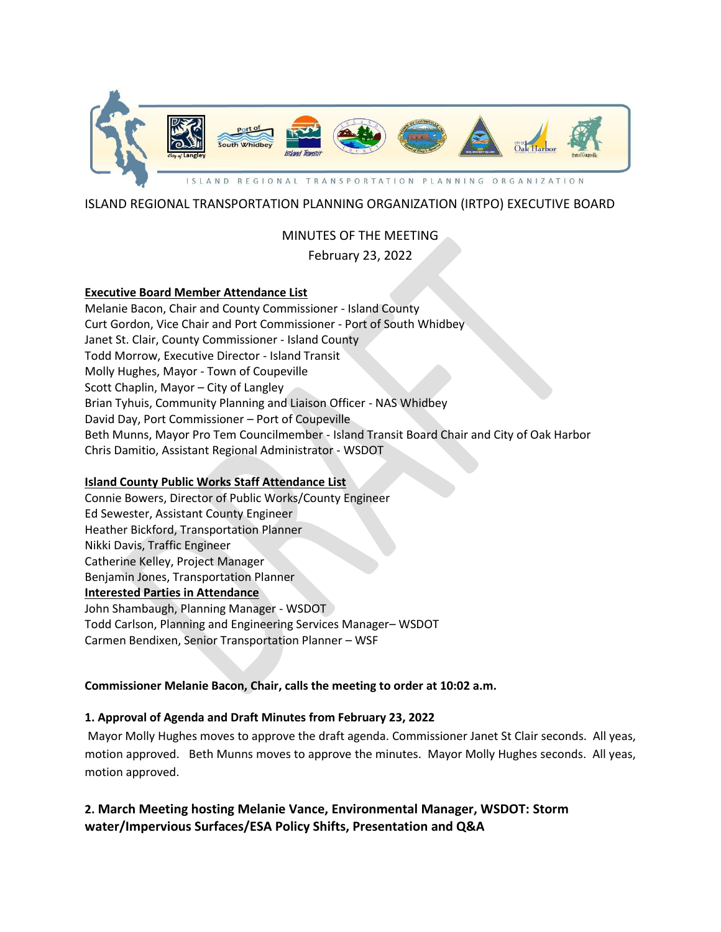

# ISLAND REGIONAL TRANSPORTATION PLANNING ORGANIZATION (IRTPO) EXECUTIVE BOARD

# MINUTES OF THE MEETING

# February 23, 2022

### **Executive Board Member Attendance List**

Melanie Bacon, Chair and County Commissioner - Island County Curt Gordon, Vice Chair and Port Commissioner - Port of South Whidbey Janet St. Clair, County Commissioner - Island County Todd Morrow, Executive Director - Island Transit Molly Hughes, Mayor - Town of Coupeville Scott Chaplin, Mayor – City of Langley Brian Tyhuis, Community Planning and Liaison Officer - NAS Whidbey David Day, Port Commissioner – Port of Coupeville Beth Munns, Mayor Pro Tem Councilmember - Island Transit Board Chair and City of Oak Harbor Chris Damitio, Assistant Regional Administrator - WSDOT

# **Island County Public Works Staff Attendance List**

Connie Bowers, Director of Public Works/County Engineer Ed Sewester, Assistant County Engineer Heather Bickford, Transportation Planner Nikki Davis, Traffic Engineer Catherine Kelley, Project Manager Benjamin Jones, Transportation Planner **Interested Parties in Attendance** John Shambaugh, Planning Manager - WSDOT Todd Carlson, Planning and Engineering Services Manager– WSDOT Carmen Bendixen, Senior Transportation Planner – WSF

# **Commissioner Melanie Bacon, Chair, calls the meeting to order at 10:02 a.m.**

# **1. Approval of Agenda and Draft Minutes from February 23, 2022**

Mayor Molly Hughes moves to approve the draft agenda. Commissioner Janet St Clair seconds. All yeas, motion approved. Beth Munns moves to approve the minutes. Mayor Molly Hughes seconds. All yeas, motion approved.

**2. March Meeting hosting Melanie Vance, Environmental Manager, WSDOT: Storm water/Impervious Surfaces/ESA Policy Shifts, Presentation and Q&A**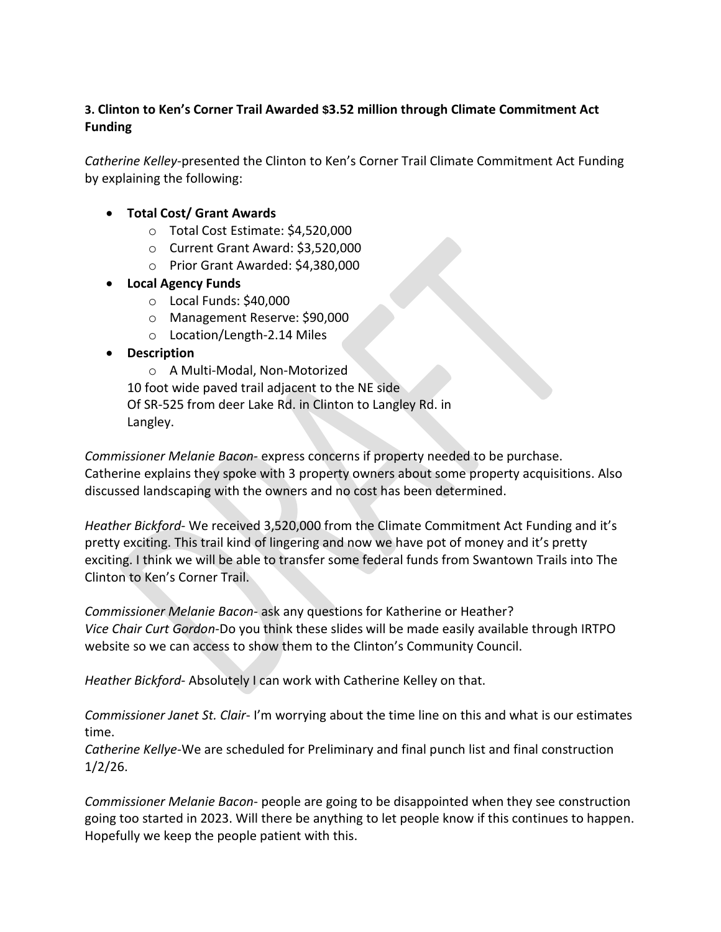# **3. Clinton to Ken's Corner Trail Awarded \$3.52 million through Climate Commitment Act Funding**

*Catherine Kelley*-presented the Clinton to Ken's Corner Trail Climate Commitment Act Funding by explaining the following:

- **Total Cost/ Grant Awards**
	- o Total Cost Estimate: \$4,520,000
	- o Current Grant Award: \$3,520,000
	- o Prior Grant Awarded: \$4,380,000
- **Local Agency Funds**
	- o Local Funds: \$40,000
	- o Management Reserve: \$90,000
	- o Location/Length-2.14 Miles
- **Description**

o A Multi-Modal, Non-Motorized 10 foot wide paved trail adjacent to the NE side Of SR-525 from deer Lake Rd. in Clinton to Langley Rd. in Langley.

*Commissioner Melanie Bacon-* express concerns if property needed to be purchase. Catherine explains they spoke with 3 property owners about some property acquisitions. Also discussed landscaping with the owners and no cost has been determined.

*Heather Bickford*- We received 3,520,000 from the Climate Commitment Act Funding and it's pretty exciting. This trail kind of lingering and now we have pot of money and it's pretty exciting. I think we will be able to transfer some federal funds from Swantown Trails into The Clinton to Ken's Corner Trail.

*Commissioner Melanie Bacon*- ask any questions for Katherine or Heather? *Vice Chair Curt Gordon-*Do you think these slides will be made easily available through IRTPO website so we can access to show them to the Clinton's Community Council.

*Heather Bickford*- Absolutely I can work with Catherine Kelley on that.

*Commissioner Janet St. Clair*- I'm worrying about the time line on this and what is our estimates time.

*Catherine Kellye-*We are scheduled for Preliminary and final punch list and final construction 1/2/26.

*Commissioner Melanie Bacon*- people are going to be disappointed when they see construction going too started in 2023. Will there be anything to let people know if this continues to happen. Hopefully we keep the people patient with this.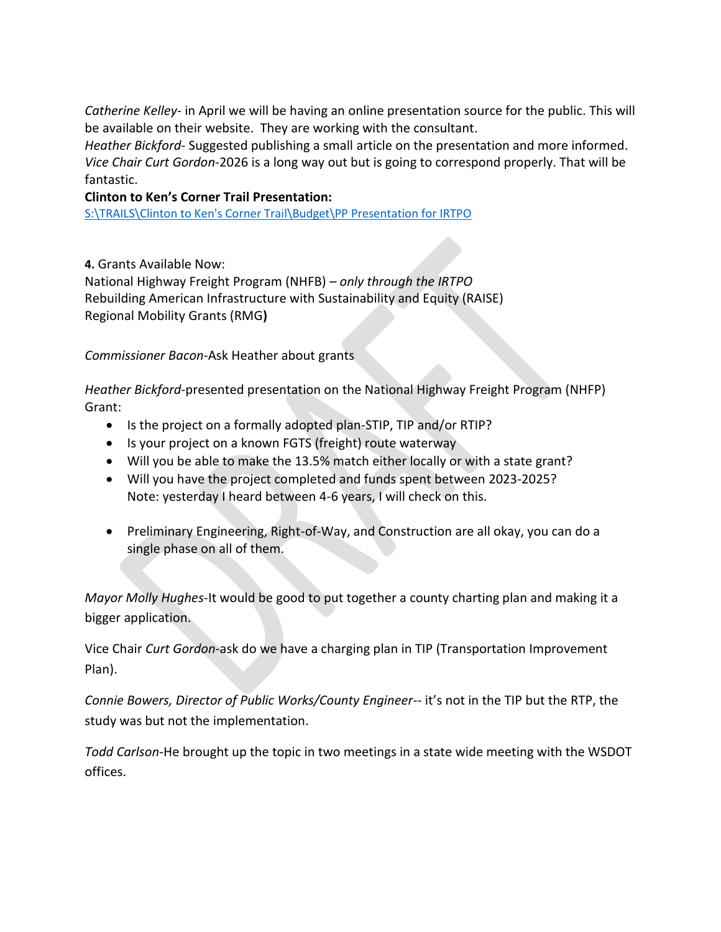*Catherine Kelley*- in April we will be having an online presentation source for the public. This will be available on their website. They are working with the consultant.

*Heather Bickford-* Suggested publishing a small article on the presentation and more informed. *Vice Chair Curt Gordon-*2026 is a long way out but is going to correspond properly. That will be fantastic.

# **Clinton to Ken's Corner Trail Presentation:**

[S:\TRAILS\Clinton to Ken's Corner Trail\Budget\PP Presentation for IRTPO](file://///canvcspubw/PublicWorks/Common/Engineering/TRAILS/Clinton%20to%20Ken)

**4.** Grants Available Now:

National Highway Freight Program (NHFB) *– only through the IRTPO* Rebuilding American Infrastructure with Sustainability and Equity (RAISE) Regional Mobility Grants (RMG**)**

*Commissioner Bacon*-Ask Heather about grants

*Heather Bickford-*presented presentation on the National Highway Freight Program (NHFP) Grant:

- Is the project on a formally adopted plan-STIP, TIP and/or RTIP?
- Is your project on a known FGTS (freight) route waterway
- Will you be able to make the 13.5% match either locally or with a state grant?
- Will you have the project completed and funds spent between 2023-2025? Note: yesterday I heard between 4-6 years, I will check on this.
- Preliminary Engineering, Right-of-Way, and Construction are all okay, you can do a single phase on all of them.

*Mayor Molly Hughes*-It would be good to put together a county charting plan and making it a bigger application.

Vice Chair *Curt Gordon*-ask do we have a charging plan in TIP (Transportation Improvement Plan).

*Connie Bowers, Director of Public Works/County Engineer-*- it's not in the TIP but the RTP, the study was but not the implementation.

*Todd Carlson*-He brought up the topic in two meetings in a state wide meeting with the WSDOT offices.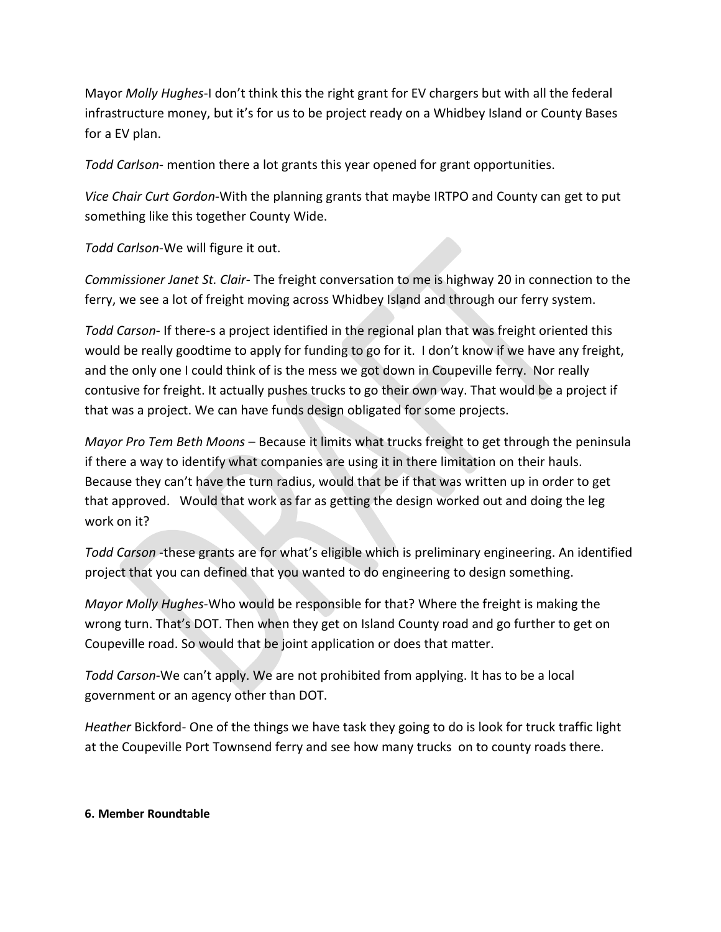Mayor *Molly Hughes*-I don't think this the right grant for EV chargers but with all the federal infrastructure money, but it's for us to be project ready on a Whidbey Island or County Bases for a EV plan.

*Todd Carlson-* mention there a lot grants this year opened for grant opportunities.

*Vice Chair Curt Gordon*-With the planning grants that maybe IRTPO and County can get to put something like this together County Wide.

*Todd Carlson*-We will figure it out.

*Commissioner Janet St. Clair*- The freight conversation to me is highway 20 in connection to the ferry, we see a lot of freight moving across Whidbey Island and through our ferry system.

*Todd Carson*- If there-s a project identified in the regional plan that was freight oriented this would be really goodtime to apply for funding to go for it. I don't know if we have any freight, and the only one I could think of is the mess we got down in Coupeville ferry. Nor really contusive for freight. It actually pushes trucks to go their own way. That would be a project if that was a project. We can have funds design obligated for some projects.

*Mayor Pro Tem Beth Moons* – Because it limits what trucks freight to get through the peninsula if there a way to identify what companies are using it in there limitation on their hauls. Because they can't have the turn radius, would that be if that was written up in order to get that approved. Would that work as far as getting the design worked out and doing the leg work on it?

*Todd Carson* -these grants are for what's eligible which is preliminary engineering. An identified project that you can defined that you wanted to do engineering to design something.

*Mayor Molly Hughes*-Who would be responsible for that? Where the freight is making the wrong turn. That's DOT. Then when they get on Island County road and go further to get on Coupeville road. So would that be joint application or does that matter.

*Todd Carson*-We can't apply. We are not prohibited from applying. It has to be a local government or an agency other than DOT.

*Heather* Bickford- One of the things we have task they going to do is look for truck traffic light at the Coupeville Port Townsend ferry and see how many trucks on to county roads there.

### **6. Member Roundtable**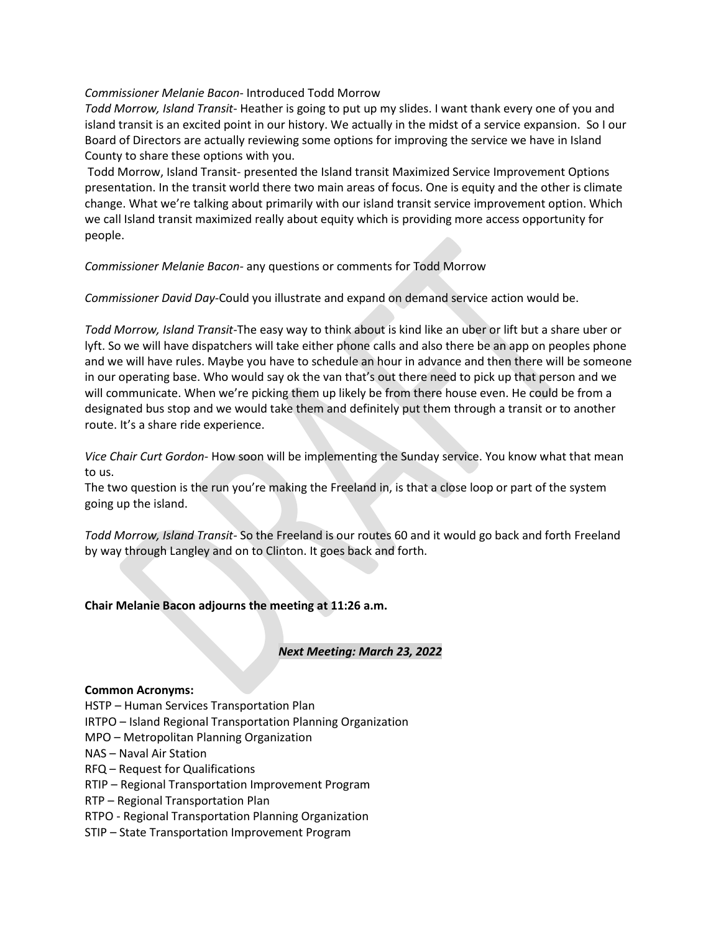### *Commissioner Melanie Bacon*- Introduced Todd Morrow

*Todd Morrow, Island Transit*- Heather is going to put up my slides. I want thank every one of you and island transit is an excited point in our history. We actually in the midst of a service expansion. So I our Board of Directors are actually reviewing some options for improving the service we have in Island County to share these options with you.

Todd Morrow, Island Transit- presented the Island transit Maximized Service Improvement Options presentation. In the transit world there two main areas of focus. One is equity and the other is climate change. What we're talking about primarily with our island transit service improvement option. Which we call Island transit maximized really about equity which is providing more access opportunity for people.

*Commissioner Melanie Bacon-* any questions or comments for Todd Morrow

*Commissioner David Day-*Could you illustrate and expand on demand service action would be.

*Todd Morrow, Island Transit-*The easy way to think about is kind like an uber or lift but a share uber or lyft. So we will have dispatchers will take either phone calls and also there be an app on peoples phone and we will have rules. Maybe you have to schedule an hour in advance and then there will be someone in our operating base. Who would say ok the van that's out there need to pick up that person and we will communicate. When we're picking them up likely be from there house even. He could be from a designated bus stop and we would take them and definitely put them through a transit or to another route. It's a share ride experience.

*Vice Chair Curt Gordon*- How soon will be implementing the Sunday service. You know what that mean to us.

The two question is the run you're making the Freeland in, is that a close loop or part of the system going up the island.

*Todd Morrow, Island Transit-* So the Freeland is our routes 60 and it would go back and forth Freeland by way through Langley and on to Clinton. It goes back and forth.

#### **Chair Melanie Bacon adjourns the meeting at 11:26 a.m.**

#### *Next Meeting: March 23, 2022*

#### **Common Acronyms:**

HSTP – Human Services Transportation Plan IRTPO – Island Regional Transportation Planning Organization MPO – Metropolitan Planning Organization NAS – Naval Air Station RFQ – Request for Qualifications RTIP – Regional Transportation Improvement Program RTP – Regional Transportation Plan RTPO - Regional Transportation Planning Organization

STIP – State Transportation Improvement Program